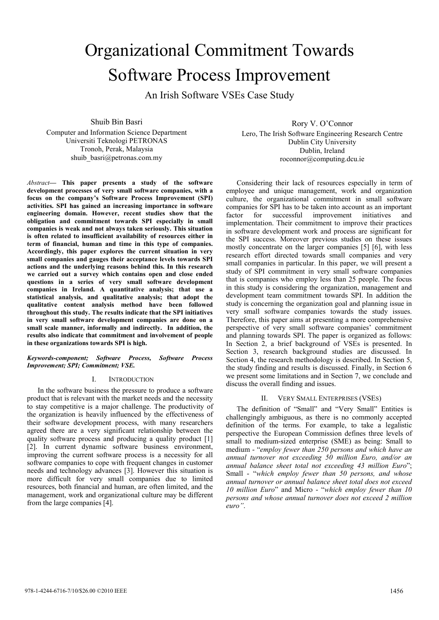# Software Process Improvement Organizational Commitment Towards

An Irish Software VSEs Case Study

Universiti Teknologi PETRONAS Tronoh, Perak, Malaysia shuib basri@petronas.com.my Shuib Bin Basri Computer and Information Science Department

**development processes of very small software companies, with a focus on the company's Software Process Improvement (SPI) activities. SPI has gained an increasing importance in software engineering domain. However, recent studies show that the obligation and commitment towards SPI especially in small companies is weak and not always taken seriously. This situation is often related to insufficient availability of resources either in term of financial, human and time in this type of companies. Accordingly, this paper explores the current situation in very small companies and gauges their acceptance levels towards SPI actions and the underlying reasons behind this. In this research we carried out a survey which contains open and close ended questions in a series of very small software development companies in Ireland. A quantitative analysis; that use a statistical analysis, and qualitative analysis; that adopt the qualitative content analysis method have been followed throughout this study. The results indicate that the SPI initiatives in very small software development companies are done on a small scale manner, informally and indirectly. In addition, the results also indicate that commitment and involvement of people in these organizations towards SPI is high.** *Abstract***— This paper presents a study of the software** 

#### *Improvement; SPI; Commitment; VSE. Keywords-component; Software Process, Software Process*

## I. INTRODUCTION

In the software business the pressure to produce a software product that is relevant with the market needs and the necessity to stay competitive is a major challenge. The productivity of the organization is heavily influenced by the effectiveness of their software development process, with many researchers agreed there are a very significant relationship between the quality software process and producing a quality product [1] [2]. In current dynamic software business environment, improving the current software process is a necessity for all software companies to cope with frequent changes in customer needs and technology advances [3]. However this situation is more difficult for very small companies due to limited resources, both financial and human, are often limited, and the management, work and organizational culture may be different from the large companies [4].

Rory V. O'Connor Lero, The Irish Software Engineering Research Centre Dublin City University Dublin, Ireland roconnor@computing.dcu.ie

Considering their lack of resources especially in term of employee and unique management, work and organization culture, the organizational commitment in small software companies for SPI has to be taken into account as an important factor for successful improvement initiatives and implementation. Their commitment to improve their practices in software development work and process are significant for the SPI success. Moreover previous studies on these issues mostly concentrate on the larger companies [5] [6], with less research effort directed towards small companies and very small companies in particular. In this paper, we will present a study of SPI commitment in very small software companies that is companies who employ less than 25 people. The focus in this study is considering the organization, management and development team commitment towards SPI. In addition the study is concerning the organization goal and planning issue in very small software companies towards the study issues. Therefore, this paper aims at presenting a more comprehensive perspective of very small software companies' commitment and planning towards SPI. The paper is organized as follows: In Section 2, a brief background of VSEs is presented. In Section 3, research background studies are discussed. In Section 4, the research methodology is described. In Section 5, the study finding and results is discussed. Finally, in Section 6 we present some limitations and in Section 7, we conclude and discuss the overall finding and issues.

## II. VERY SMALL ENTERPRISES (VSES)

The definition of "Small" and "Very Small" Entities is challengingly ambiguous, as there is no commonly accepted definition of the terms. For example, to take a legalistic perspective the European Commission defines three levels of small to medium-sized enterprise (SME) as being: Small to medium - "*employ fewer than 250 persons and which have an annual turnover not exceeding 50 million Euro, and/or an annual balance sheet total not exceeding 43 million Euro*"; Small - "*which employ fewer than 50 persons, and whose annual turnover or annual balance sheet total does not exceed 10 million Euro*" and Micro - "*which employ fewer than 10 persons and whose annual turnover does not exceed 2 million euro"*.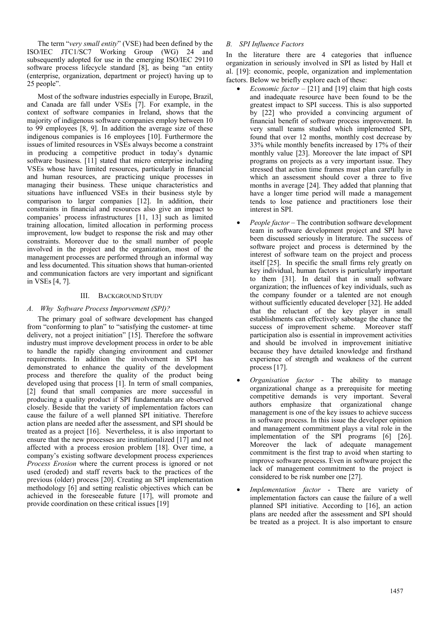The term "*very small entity*" (VSE) had been defined by the ISO/IEC JTC1/SC7 Working Group (WG) 24 and subsequently adopted for use in the emerging ISO/IEC 29110 software process lifecycle standard [8], as being "an entity (enterprise, organization, department or project) having up to 25 people".

Most of the software industries especially in Europe, Brazil, and Canada are fall under VSEs [7]. For example, in the context of software companies in Ireland, shows that the majority of indigenous software companies employ between 10 to 99 employees [8, 9]. In addition the average size of these indigenous companies is 16 employees [10]. Furthermore the issues of limited resources in VSEs always become a constraint in producing a competitive product in today's dynamic software business. [11] stated that micro enterprise including VSEs whose have limited resources, particularly in financial and human resources, are practicing unique processes in managing their business. These unique characteristics and situations have influenced VSEs in their business style by comparison to larger companies [12]. In addition, their constraints in financial and resources also give an impact to companies' process infrastructures [11, 13] such as limited training allocation, limited allocation in performing process improvement, low budget to response the risk and may other constraints. Moreover due to the small number of people involved in the project and the organization, most of the management processes are performed through an informal way and less documented. This situation shows that human-oriented and communication factors are very important and significant in VSEs [4, 7].

# III. BACKGROUND STUDY

# *A. Why Software Process Imporvement (SPI)?*

The primary goal of software development has changed from "conforming to plan" to "satisfying the customer- at time delivery, not a project initiation" [15]. Therefore the software industry must improve development process in order to be able to handle the rapidly changing environment and customer requirements. In addition the involvement in SPI has demonstrated to enhance the quality of the development process and therefore the quality of the product being developed using that process [1]. In term of small companies, [2] found that small companies are more successful in producing a quality product if SPI fundamentals are observed closely. Beside that the variety of implementation factors can cause the failure of a well planned SPI initiative. Therefore action plans are needed after the assessment, and SPI should be treated as a project [16]. Nevertheless, it is also important to ensure that the new processes are institutionalized [17] and not affected with a process erosion problem [18]. Over time, a company's existing software development process experiences *Process Erosion* where the current process is ignored or not used (eroded) and staff reverts back to the practices of the previous (older) process [20]. Creating an SPI implementation methodology [6] and setting realistic objectives which can be achieved in the foreseeable future [17], will promote and provide coordination on these critical issues [19]

# *B. SPI Influence Factors*

In the literature there are 4 categories that influence organization in seriously involved in SPI as listed by Hall et al. [19]: economic, people, organization and implementation factors. Below we briefly explore each of these:

- *Economic factor* [21] and [19] claim that high costs and inadequate resource have been found to be the greatest impact to SPI success. This is also supported by [22] who provided a convincing argument of financial benefit of software process improvement. In very small teams studied which implemented SPI, found that over 12 months, monthly cost decrease by 33% while monthly benefits increased by 17% of their monthly value [23]. Moreover the late impact of SPI programs on projects as a very important issue. They stressed that action time frames must plan carefully in which an assessment should cover a three to five months in average [24]. They added that planning that have a longer time period will made a management tends to lose patience and practitioners lose their interest in SPI.
- *People factor* The contribution software development team in software development project and SPI have been discussed seriously in literature. The success of software project and process is determined by the interest of software team on the project and process itself [25]. In specific the small firms rely greatly on key individual, human factors is particularly important to them [31]. In detail that in small software organization; the influences of key individuals, such as the company founder or a talented are not enough without sufficiently educated developer [32]. He added that the reluctant of the key player in small establishments can effectively sabotage the chance the success of improvement scheme. Moreover staff participation also is essential in improvement activities and should be involved in improvement initiative because they have detailed knowledge and firsthand experience of strength and weakness of the current process [17].
- *Organisation factor* The ability to manage organizational change as a prerequisite for meeting competitive demands is very important. Several authors emphasize that organizational change management is one of the key issues to achieve success in software process. In this issue the developer opinion and management commitment plays a vital role in the implementation of the SPI programs [6] [26]. Moreover the lack of adequate management commitment is the first trap to avoid when starting to improve software process. Even in software project the lack of management commitment to the project is considered to be risk number one [27].
- *Implementation factor* There are variety of implementation factors can cause the failure of a well planned SPI initiative. According to [16], an action plans are needed after the assessment and SPI should be treated as a project. It is also important to ensure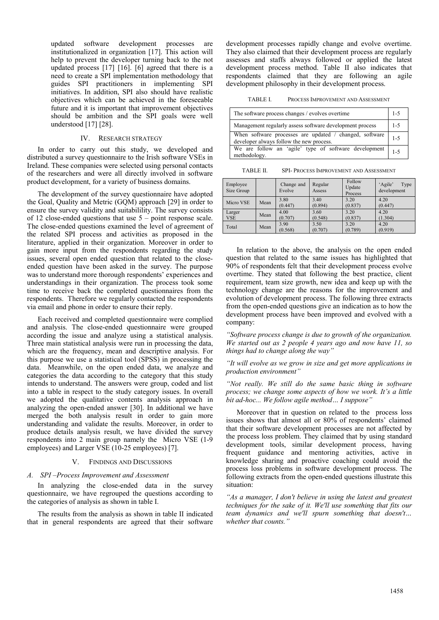updated software development processes are institutionalized in organization [17]. This action will help to prevent the developer turning back to the not updated process [17] [16]. [6] agreed that there is a need to create a SPI implementation methodology that guides SPI practitioners in implementing SPI initiatives. In addition, SPI also should have realistic objectives which can be achieved in the foreseeable future and it is important that improvement objectives should be ambition and the SPI goals were well understood [17] [28].

## IV. RESEARCH STRATEGY

In order to carry out this study, we developed and distributed a survey questionnaire to the Irish software VSEs in Ireland. These companies were selected using personal contacts of the researchers and were all directly involved in software product development, for a variety of business domains.

The development of the survey questionnaire have adopted the Goal, Quality and Metric (GQM) approach [29] in order to ensure the survey validity and suitabilility. The survey consists of 12 close-ended questions that use 5 – point response scale. The close-ended questions examined the level of agreement of the related SPI process and activities as proposed in the literature, applied in their organization. Moreover in order to gain more input from the respondents regarding the study issues, several open ended question that related to the closeended question have been asked in the survey. The purpose was to understand more thorough respondents' experiences and understandings in their organization. The process took some time to receive back the completed questionnaires from the respondents. Therefore we regularly contacted the respondents via email and phone in order to ensure their reply.

Each received and completed questionnaire were complied and analysis. The close-ended questionnaire were grouped according the issue and analyze using a statistical analysis. Three main statistical analysis were run in processing the data, which are the frequency, mean and descriptive analysis. For this purpose we use a statistical tool (SPSS) in processing the data. Meanwhile, on the open ended data, we analyze and categories the data according to the category that this study intends to understand. The answers were group, coded and list into a table in respect to the study category issues. In overall we adopted the qualitative contents analysis approach in analyzing the open-ended answer [30]. In additional we have merged the both analysis result in order to gain more understanding and validate the results. Moreover, in order to produce details analysis result, we have divided the survey respondents into 2 main group namely the Micro VSE (1-9 employees) and Larger VSE (10-25 employees) [7].

#### V. FINDINGS AND DISCUSSIONS

#### *A. SPI –Process Improvement and Assessment*

In analyzing the close-ended data in the survey questionnaire, we have regrouped the questions according to the categories of analysis as shown in table I.

The results from the analysis as shown in table II indicated that in general respondents are agreed that their software

development processes rapidly change and evolve overtime. They also claimed that their development process are regularly assesses and staffs always followed or applied the latest development process method. Table II also indicates that respondents claimed that they are following an agile development philosophy in their development process.

TABLE I. PROCESS IMPROVEMENT AND ASSESSMENT

| The software process changes / evolves overtime                                                     |         |  |
|-----------------------------------------------------------------------------------------------------|---------|--|
| Management regularly assess software development process                                            |         |  |
| When software processes are updated / changed, software<br>developer always follow the new process. |         |  |
| We are follow an 'agile' type of software development  <br>methodology.                             | $1 - 5$ |  |

TABLE II. SPI- PROCESS IMPROVEMENT AND ASSESSMENT

| Employee<br>Size Group |      | Change and<br>Evolve | Regular<br>Assess | Follow<br>Update<br>Process | 'Agile'<br>Type<br>development |
|------------------------|------|----------------------|-------------------|-----------------------------|--------------------------------|
| Micro VSE              | Mean | 3.80<br>(0.447)      | 3.40<br>(0.894)   | 3.20<br>(0.837)             | 4.20<br>(0.447)                |
| Larger<br><b>VSE</b>   | Mean | 4.00<br>(0.707)      | 3.60<br>(0.548)   | 3.20<br>(0.837)             | 4.20<br>(1.304)                |
| Total                  | Mean | 3.90<br>(0.568)      | 3.50<br>(0.707)   | 3.20<br>(0.789)             | 4.20<br>(0.919)                |

In relation to the above, the analysis on the open ended question that related to the same issues has highlighted that 90% of respondents felt that their development process evolve overtime. They stated that following the best practice, client requirement, team size growth, new idea and keep up with the technology change are the reasons for the improvement and evolution of development process. The following three extracts from the open-ended questions give an indication as to how the development process have been improved and evolved with a company:

*"Software process change is due to growth of the organization. We started out as 2 people 4 years ago and now have 11, so things had to change along the way"* 

*"It will evolve as we grow in size and get more applications in production environment"* 

*"Not really. We still do the same basic thing in software process; we change some aspects of how we work. It's a little bit ad-hoc... We follow agile method… I suppose"*

Moreover that in question on related to the process loss issues shows that almost all or 80% of respondents' claimed that their software development processes are not affected by the process loss problem. They claimed that by using standard development tools, similar development process, having frequent guidance and mentoring activities, active in knowledge sharing and proactive coaching could avoid the process loss problems in software development process. The following extracts from the open-ended questions illustrate this situation:

*"As a manager, I don't believe in using the latest and greatest techniques for the sake of it. We'll use something that fits our team dynamics and we'll spurn something that doesn't… whether that counts."*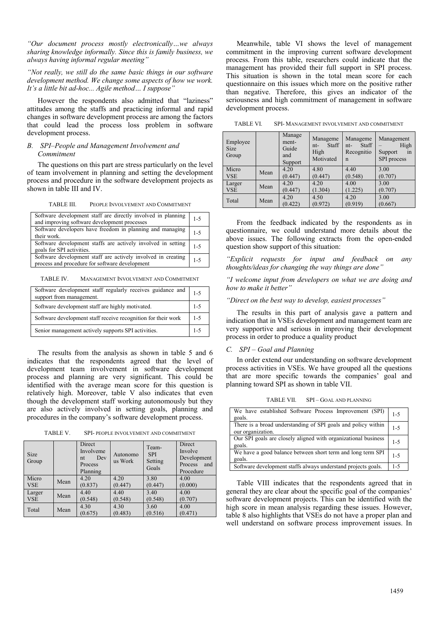*"Our document process mostly electronically…we always sharing knowledge informally. Since this is family business, we always having informal regular meeting"* 

*"Not really, we still do the same basic things in our software development method. We change some aspects of how we work. It's a little bit ad-hoc... Agile method… I suppose"* 

However the respondents also admitted that "laziness" attitudes among the staffs and practicing informal and rapid changes in software development process are among the factors that could lead the process loss problem in software development process.

## *B. SPI–People and Management Involvement and Commitment*

The questions on this part are stress particularly on the level of team involvement in planning and setting the development process and procedure in the software development projects as shown in table III and IV.

TABLE III. PEOPLE INVOLVEMENT AND COMMITMENT

| Software development staff are directly involved in planning<br>and improving software development processes   | $1 - 5$ |
|----------------------------------------------------------------------------------------------------------------|---------|
| Software developers have freedom in planning and managing<br>their work.                                       | $1 - 5$ |
| Software development staffs are actively involved in setting<br>goals for SPI activities.                      | $1 - 5$ |
| Software development staff are actively involved in creating<br>process and procedure for software development | $1 - 5$ |

TABLE IV. MANAGEMENT INVOLVEMENT AND COMMITMENT

| Software development staff regularly receives guidance and  <br>support from management. | $1 - 5$ |
|------------------------------------------------------------------------------------------|---------|
| Software development staff are highly motivated.                                         | $1 - 5$ |
| Software development staff receive recognition for their work                            | $1 - 5$ |
| Senior management actively supports SPI activities.                                      | $1 - 5$ |

The results from the analysis as shown in table 5 and 6 indicates that the respondents agreed that the level of development team involvement in software development process and planning are very significant. This could be identified with the average mean score for this question is relatively high. Moreover, table V also indicates that even though the development staff working autonomously but they are also actively involved in setting goals, planning and procedures in the company's software development process.

TABLE V. SPI- PEOPLE INVOLVEMENT AND COMMITMENT

| Size<br>Group |      | Direct<br>Involveme<br>Dev<br>nt<br>Process<br>Planning | Autonomo<br>us Work | Team-<br><b>SPI</b><br>Setting<br>Goals | Direct<br>Involve<br>Development<br>Process<br>and<br>Procedure |
|---------------|------|---------------------------------------------------------|---------------------|-----------------------------------------|-----------------------------------------------------------------|
| Micro         | Mean | 4.20                                                    | 4.20                | 3.80                                    | 4.00                                                            |
| <b>VSE</b>    |      | (0.837)                                                 | (0.447)             | (0.447)                                 | (0.000)                                                         |
| Larger        | Mean | 4.40                                                    | 4.40                | 3.40                                    | 4.00                                                            |
| <b>VSE</b>    |      | (0.548)                                                 | (0.548)             | (0.548)                                 | (0.707)                                                         |
| Total         | Mean | 4.30<br>(0.675)                                         | 4.30<br>(0.483)     | 3.60<br>(0.516)                         | 4.00<br>(0.471)                                                 |

Meanwhile, table VI shows the level of management commitment in the improving current software development process. From this table, researchers could indicate that the management has provided their full support in SPI process. This situation is shown in the total mean score for each questionnaire on this issues which more on the positive rather than negative. Therefore, this gives an indicator of the seriousness and high commitment of management in software development process.

| Employee<br><b>Size</b><br>Group |      | Manage<br>ment-<br>Guide<br>and<br>Support | Manageme<br>Staff<br>nt-<br>High<br>Motivated | Manageme<br>Staff<br>nt-<br>Recognitio<br>n | Management<br>High<br>Support<br>in<br>SPI process |
|----------------------------------|------|--------------------------------------------|-----------------------------------------------|---------------------------------------------|----------------------------------------------------|
| Micro                            | Mean | 4.20                                       | 4.80                                          | 4.40                                        | 3.00                                               |
| <b>VSE</b>                       |      | (0.447)                                    | (0.447)                                       | (0.548)                                     | (0.707)                                            |
| Larger                           | Mean | 4.20                                       | 4.20                                          | 4.00                                        | 3.00                                               |
| <b>VSE</b>                       |      | (0.447)                                    | (1.304)                                       | (1.225)                                     | (0.707)                                            |
| Total                            | Mean | 4.20                                       | 4.50                                          | 4.20                                        | 3.00                                               |
|                                  |      | (0.422)                                    | (0.972)                                       | (0.919)                                     | (0.667)                                            |

TABLE VI. SPI- MANAGEMENT INVOLVEMENT AND COMMITMENT

From the feedback indicated by the respondents as in questionnaire, we could understand more details about the above issues. The following extracts from the open-ended question show support of this situation:

*"Explicit requests for input and feedback on any thoughts/ideas for changing the way things are done"* 

*"I welcome input from developers on what we are doing and how to make it better"* 

*"Direct on the best way to develop, easiest processes"* 

The results in this part of analysis gave a pattern and indication that in VSEs development and management team are very supportive and serious in improving their development process in order to produce a quality product

#### *C. SPI – Goal and Planning*

In order extend our understanding on software development process activities in VSEs. We have grouped all the questions that are more specific towards the companies' goal and planning toward SPI as shown in table VII.

TABLE VII. SPI – GOAL AND PLANNING

| We have established Software Process Improvement (SPI)<br>goals.                   | $1 - 5$ |
|------------------------------------------------------------------------------------|---------|
| There is a broad understanding of SPI goals and policy within<br>our organization. | $1 - 5$ |
| Our SPI goals are closely aligned with organizational business<br>goals.           | $1 - 5$ |
| We have a good balance between short term and long term SPI<br>goals.              | $1 - 5$ |
| Software development staffs always understand projects goals.                      | $1 - 5$ |

Table VIII indicates that the respondents agreed that in general they are clear about the specific goal of the companies' software development projects. This can be identified with the high score in mean analysis regarding these issues. However, table 8 also highlights that VSEs do not have a proper plan and well understand on software process improvement issues. In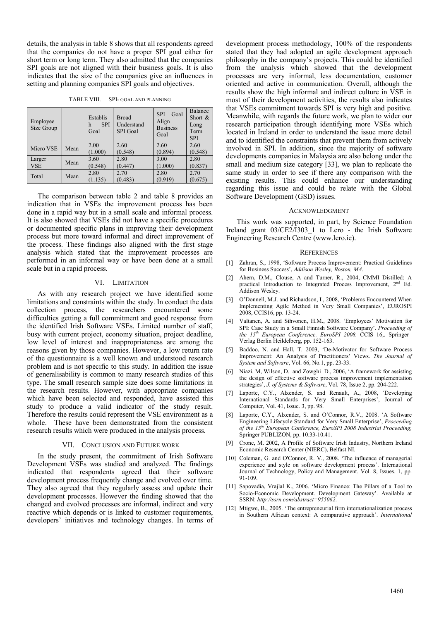details, the analysis in table 8 shows that all respondents agreed that the companies do not have a proper SPI goal either for short term or long term. They also admitted that the companies SPI goals are not aligned with their business goals. It is also indicates that the size of the companies give an influences in setting and planning companies SPI goals and objectives.

TABLE VIII. SPI- GOAL AND PLANNING

| Employee<br>Size Group |      | Establis<br><b>SPI</b><br>h<br>Goal | <b>Broad</b><br><b>Understand</b><br><b>SPI</b> Goal | <b>SPI</b><br>Goal<br>Align<br><b>Business</b><br>Goal | <b>Balance</b><br>Short $\&$<br>Long<br>Term<br><b>SPI</b> |
|------------------------|------|-------------------------------------|------------------------------------------------------|--------------------------------------------------------|------------------------------------------------------------|
| Micro VSE              | Mean | 2.00<br>(1.000)                     | 2.60<br>(0.548)                                      | 2.60<br>(0.894)                                        | 2.60<br>(0.548)                                            |
| Larger<br>VSE          | Mean | 3.60<br>(0.548)                     | 2.80<br>(0.447)                                      | 3.00<br>(1.000)                                        | 2.80<br>(0.837)                                            |
| Total                  | Mean | 2.80<br>(1.135)                     | 2.70<br>(0.483)                                      | 2.80<br>(0.919)                                        | 2.70<br>(0.675)                                            |

The comparison between table 2 and table 8 provides an indication that in VSEs the improvement process has been done in a rapid way but in a small scale and informal process. It is also showed that VSEs did not have a specific procedures or documented specific plans in improving their development process but more toward informal and direct improvement of the process. These findings also aligned with the first stage analysis which stated that the improvement processes are performed in an informal way or have been done at a small scale but in a rapid process.

#### VI. LIMITATION

As with any research project we have identified some limitations and constraints within the study. In conduct the data collection process, the researchers encountered some difficulties getting a full commitment and good response from the identified Irish Software VSEs. Limited number of staff, busy with current project, economy situation, project deadline, low level of interest and inappropriateness are among the reasons given by those companies. However, a low return rate of the questionnaire is a well known and understood research problem and is not specific to this study. In addition the issue of generalisability is common to many research studies of this type. The small research sample size does some limitations in the research results. However, with appropriate companies which have been selected and responded, have assisted this study to produce a valid indicator of the study result. Therefore the results could represent the VSE environment as a whole. These have been demonstrated from the consistent research results which were produced in the analysis process.

#### VII. CONCLUSION AND FUTURE WORK

In the study present, the commitment of Irish Software Development VSEs was studied and analyzed. The findings indicated that respondents agreed that their software development process frequently change and evolved over time. They also agreed that they regularly assess and update their development processes. However the finding showed that the changed and evolved processes are informal, indirect and very reactive which depends or is linked to customer requirements, developers' initiatives and technology changes. In terms of

development process methodology, 100% of the respondents stated that they had adopted an agile development approach philosophy in the company's projects. This could be identified from the analysis which showed that the development processes are very informal, less documentation, customer oriented and active in communication. Overall, although the results show the high informal and indirect culture in VSE in most of their development activities, the results also indicates that VSEs commitment towards SPI is very high and positive. Meanwhile, with regards the future work, we plan to wider our research participation through identifying more VSEs which located in Ireland in order to understand the issue more detail and to identified the constraints that prevent them from actively involved in SPI. In addition, since the majority of software developments companies in Malaysia are also belong under the small and medium size category [33], we plan to replicate the same study in order to see if there any comparison with the existing results. This could enhance our understanding regarding this issue and could be relate with the Global Software Development (GSD) issues.

#### ACKNOWLEDGMENT

This work was supported, in part, by Science Foundation Ireland grant  $03/\text{CE}2/1303$  1 to Lero - the Irish Software Engineering Research Centre (www.lero.ie).

#### **REFERENCES**

- [1] Zahran, S., 1998, 'Software Process Improvement: Practical Guidelines for Business Success', *Addison Wesley, Boston, MA*.
- [2] Ahern, D.M., Clouse, A and Turner, R., 2004, CMMI Distilled: A practical Introduction to Integrated Process Improvement, 2<sup>nd</sup> Ed. Addison Wesley.
- [3] O'Donnell, M.J. and Richardson, I., 2008, 'Problems Encountered When Implementing Agile Method in Very Small Companies', EUROSPI 2008, CCIS16, pp. 13-24.
- [4] Valtanen, A. and Sihvonen, H.M., 2008. 'Employees' Motivation for SPI: Case Study in a Small Finnish Software Company'. *Proceeding of the 15th European Conference, EuroSPI 2008,* CCIS 16,. Springer– Verlag Berlin Heildelberg, pp. 152-163.
- [5] Baddoo, N. and Hall, T. 2003, 'De-Motivator for Software Process Improvement: An Analysis of Practitioners' Views. *The Journal of System and Software*, Vol. 66, No.1, pp. 23-33.
- [6] Niazi. M, Wilson, D. and Zowghi D., 2006, 'A framework for assisting the design of effective software process improvement implementation strategies', *J. of Systems & Software*, Vol. 78, Issue 2, pp. 204-222.
- [7] Laporte, C.Y., Alxender, S. and Renault, A., 2008, 'Developing International Standards for Very Small Enterprises', Journal of Computer, Vol. 41, Issue. 3, pp. 98.
- Laporte, C.Y., Alxender, S. and O'Connor, R.V., 2008. 'A Software Engineering Lifecycle Standard for Very Small Enterprise', *Proceeding of the 15th European Conference, EuroSPI 2008 Industrial Proceeding,* Springer PUBLIZON, pp. 10.33-10.41.
- [9] Crone, M. 2002, A Profile of Software Irish Industry, Northern Ireland Economic Research Center (NIERC), Belfast NI.
- [10] Coleman, G. and O'Connor, R. V., 2008. 'The influence of managerial experience and style on software development process'. International Journal of Technology, Policy and Management. Vol. 8, Issues. 1, pp. 91-109.
- [11] Sapovadia, Vrajlal K., 2006. 'Micro Finance: The Pillars of a Tool to Socio-Economic Development. Development Gateway'. Available at SSRN: *http://ssrn.com/abstract=955062*.
- [12] Mtigwe, B., 2005. 'The entrepreneurial firm internationalization process in Southern African context: A comparative approach'. *International*